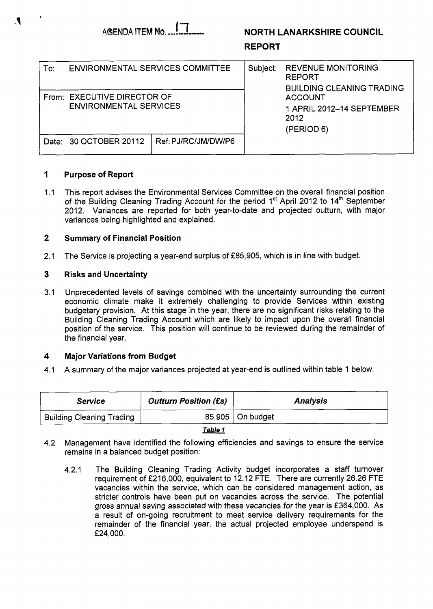# **AdENDA ITEM Na.,...-.....-...** I7 **NORTH LANARKSHIRE COUNCIL**

# **REPORT**

| To∶     | ENVIRONMENTAL SERVICES COMMITTEE                             |                     | Subject: | <b>REVENUE MONITORING</b><br><b>REPORT</b><br><b>BUILDING CLEANING TRADING</b> |
|---------|--------------------------------------------------------------|---------------------|----------|--------------------------------------------------------------------------------|
|         | From: EXECUTIVE DIRECTOR OF<br><b>ENVIRONMENTAL SERVICES</b> |                     |          | <b>ACCOUNT</b><br>1 APRIL 2012-14 SEPTEMBER<br>2012<br>(PERIOD 6)              |
| Date: I | 30 OCTOBER 20112                                             | Ref: PJ/RC/JM/DW/P6 |          |                                                                                |

#### **1 Purpose of Report**

 $1.1$ This report advises the Environmental Services Committee on the overall financial position of the Building Cleaning Trading Account for the period  $1<sup>st</sup>$  April 2012 to  $14<sup>th</sup>$  September 2012. Variances are reported for both year-to-date and projected outturn, with major variances being highlighted and explained.

#### **2 Summary of Financial Position**

2.1 The Service is projecting a year-end surplus of £85,905, which is in line with budget.

#### **3 Risks and Uncertainty**

3.1 Unprecedented levels of savings combined with the uncertainty surrounding the current economic climate make it extremely challenging *to* provide Services within existing budgetary provision. At this stage in the year, there are no significant risks relating to the Building Cleaning Trading Account which are likely to impact upon the overall financial position of the service. This position will continue to be reviewed during the remainder of the financial year.

#### **4 Major Variations from Budget**

4.1 A summary of the major variances projected at year-end is outlined within table 1 below.

| <b>Service</b>                   | <b>Outturn Position (£s)</b> | <b>Analysis</b>    |  |  |  |
|----------------------------------|------------------------------|--------------------|--|--|--|
| <b>Building Cleaning Trading</b> |                              | 85,905   On budget |  |  |  |
|                                  |                              |                    |  |  |  |

*Table 1* 

- 4.2 Management have identified the following efficiencies and savings to ensure the service remains in a balanced budget position:
	- 4.2.1 The Building Cleaning Trading Activity budget incorporates a staff turnover requirement of f216,000, equivalent to 12.12 FTE. There are currently 26.26 FTE vacancies within the service, which can be considered management action, as stricter controls have been put on vacancies across the service. The potential gross annual saving associated with these vacancies for the year is f 364,000. As a result of on-going recruitment to meet service delivery requirements for the remainder of the financial year, the actual projected employee underspend is *f* 24,000.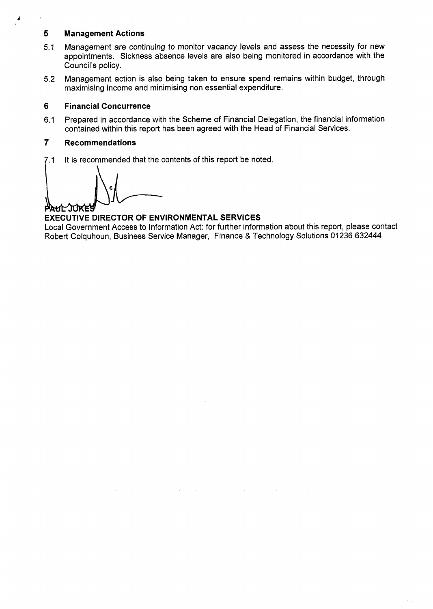# **5 Management Actions**

- 5.1 Management are continuing to monitor vacancy levels and assess the necessity for new appointments. Sickness absence levels are also being monitored in accordance with the Council's policy.
- Management action is also being taken to ensure spend remains within budget, through maximising income and minimising non essential expenditure. 5.2

## **6 Financial Concurrence**

6.1 Prepared in accordance with the Scheme of Financial Delegation, the financial information contained within this report has been agreed with the Head of Financial Services.

# **7 Recommendations**

7.1 It is recommended that the contents of this report be noted.

PAUL JUKES

# **EXECUTIVE DIRECTOR OF ENVIRONMENTAL SERVICES**

Local Government Access to Information Act: for further information about this report, please contact Robert Colquhoun, Business Service Manager, Finance & Technology Solutions 01236 632444